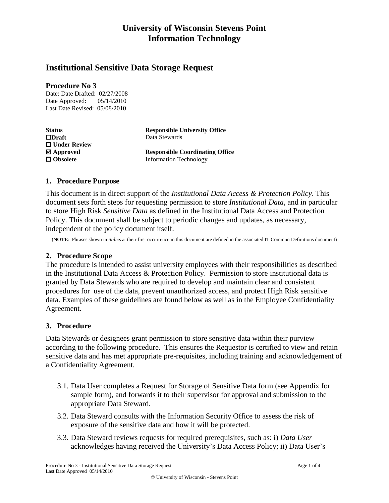# **University of Wisconsin Stevens Point Information Technology**

# **Institutional Sensitive Data Storage Request**

#### **Procedure No 3**

Date: Date Drafted: 02/27/2008 Date Approved: 05/14/2010 Last Date Revised: 05/08/2010

| <b>Status</b>                           | <b>Responsible University Office</b>   |
|-----------------------------------------|----------------------------------------|
| $\Box$ Draft                            | Data Stewards                          |
| $\Box$ Under Review                     |                                        |
| $\boldsymbol{\mathsf{\Sigma}}$ Approved | <b>Responsible Coordinating Office</b> |
| $\Box$ Obsolete                         | <b>Information Technology</b>          |

## **1. Procedure Purpose**

This document is in direct support of the *Institutional Data Access & Protection Policy*. This document sets forth steps for requesting permission to store *Institutional Data*, and in particular to store High Risk *Sensitive Data* as defined in the Institutional Data Access and Protection Policy. This document shall be subject to periodic changes and updates, as necessary, independent of the policy document itself.

(**NOTE**: Phrases shown in *italics* at their first occurrence in this document are defined in the associated IT Common Definitions document)

### **2. Procedure Scope**

The procedure is intended to assist university employees with their responsibilities as described in the Institutional Data Access & Protection Policy. Permission to store institutional data is granted by Data Stewards who are required to develop and maintain clear and consistent procedures for use of the data, prevent unauthorized access, and protect High Risk sensitive data. Examples of these guidelines are found below as well as in the Employee Confidentiality Agreement.

### **3. Procedure**

Data Stewards or designees grant permission to store sensitive data within their purview according to the following procedure. This ensures the Requestor is certified to view and retain sensitive data and has met appropriate pre-requisites, including training and acknowledgement of a Confidentiality Agreement.

- 3.1. Data User completes a Request for Storage of Sensitive Data form (see Appendix for sample form), and forwards it to their supervisor for approval and submission to the appropriate Data Steward.
- 3.2. Data Steward consults with the Information Security Office to assess the risk of exposure of the sensitive data and how it will be protected.
- 3.3. Data Steward reviews requests for required prerequisites, such as: i) *Data User* acknowledges having received the University's Data Access Policy; ii) Data User's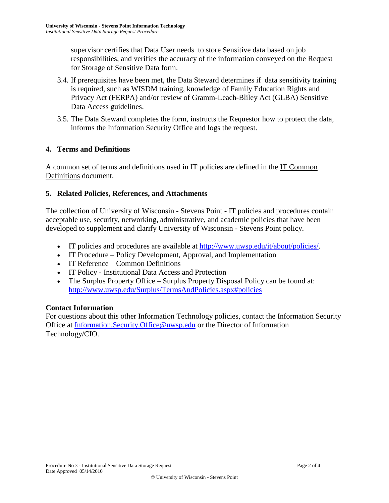supervisor certifies that Data User needs to store Sensitive data based on job responsibilities, and verifies the accuracy of the information conveyed on the Request for Storage of Sensitive Data form.

- 3.4. If prerequisites have been met, the Data Steward determines if data sensitivity training is required, such as WISDM training, knowledge of Family Education Rights and Privacy Act (FERPA) and/or review of Gramm-Leach-Bliley Act (GLBA) Sensitive Data Access guidelines.
- 3.5. The Data Steward completes the form, instructs the Requestor how to protect the data, informs the Information Security Office and logs the request.

## **4. Terms and Definitions**

A common set of terms and definitions used in IT policies are defined in the IT Common Definitions document.

## **5. Related Policies, References, and Attachments**

The collection of University of Wisconsin - Stevens Point - IT policies and procedures contain acceptable use, security, networking, administrative, and academic policies that have been developed to supplement and clarify University of Wisconsin - Stevens Point policy.

- IT policies and procedures are available at [http://www.uwsp.edu/it/about/policies/.](http://www.uwsp.edu/it/about/policies/)
- IT Procedure Policy Development, Approval, and Implementation
- IT Reference Common Definitions
- IT Policy Institutional Data Access and Protection
- The Surplus Property Office Surplus Property Disposal Policy can be found at: <http://www.uwsp.edu/Surplus/TermsAndPolicies.aspx#policies>

### **Contact Information**

For questions about this other Information Technology policies, contact the Information Security Office at [Information.Security.Office@uwsp.edu](mailto:Information.Security.Office@uwsp.edu) or the Director of Information Technology/CIO.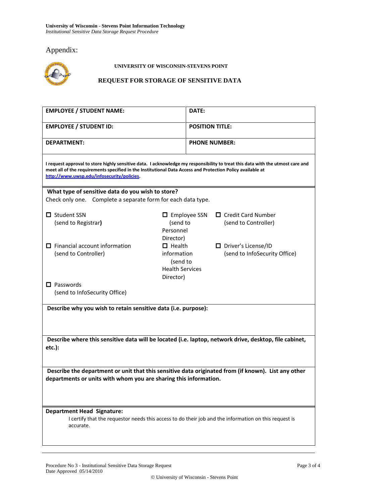# Appendix:



#### **UNIVERSITY OF WISCONSIN-STEVENS POINT**

#### **REQUEST FOR STORAGE OF SENSITIVE DATA**

| <b>EMPLOYEE / STUDENT NAME:</b>                                                                                                                                                                                                                                                            |                                                                                 | DATE:                  |                                                        |  |  |
|--------------------------------------------------------------------------------------------------------------------------------------------------------------------------------------------------------------------------------------------------------------------------------------------|---------------------------------------------------------------------------------|------------------------|--------------------------------------------------------|--|--|
| <b>EMPLOYEE / STUDENT ID:</b>                                                                                                                                                                                                                                                              |                                                                                 | <b>POSITION TITLE:</b> |                                                        |  |  |
| <b>DEPARTMENT:</b>                                                                                                                                                                                                                                                                         |                                                                                 | <b>PHONE NUMBER:</b>   |                                                        |  |  |
| I request approval to store highly sensitive data. I acknowledge my responsibility to treat this data with the utmost care and<br>meet all of the requirements specified in the Institutional Data Access and Protection Policy available at<br>http://www.uwsp.edu/infosecurity/policies. |                                                                                 |                        |                                                        |  |  |
| What type of sensitive data do you wish to store?<br>Check only one. Complete a separate form for each data type.                                                                                                                                                                          |                                                                                 |                        |                                                        |  |  |
| $\Box$ Student SSN<br>(send to Registrar)                                                                                                                                                                                                                                                  | $\Box$ Employee SSN<br>(send to<br>Personnel<br>Director)                       |                        | $\Box$ Credit Card Number<br>(send to Controller)      |  |  |
| $\Box$ Financial account information<br>(send to Controller)                                                                                                                                                                                                                               | $\Box$ Health<br>information<br>(send to<br><b>Health Services</b><br>Director) |                        | D Driver's License/ID<br>(send to InfoSecurity Office) |  |  |
| $\Box$ Passwords<br>(send to InfoSecurity Office)                                                                                                                                                                                                                                          |                                                                                 |                        |                                                        |  |  |
| Describe why you wish to retain sensitive data (i.e. purpose):                                                                                                                                                                                                                             |                                                                                 |                        |                                                        |  |  |
| Describe where this sensitive data will be located (i.e. laptop, network drive, desktop, file cabinet,<br>etc.):                                                                                                                                                                           |                                                                                 |                        |                                                        |  |  |
| Describe the department or unit that this sensitive data originated from (if known). List any other<br>departments or units with whom you are sharing this information.                                                                                                                    |                                                                                 |                        |                                                        |  |  |
| <b>Department Head Signature:</b><br>I certify that the requestor needs this access to do their job and the information on this request is<br>accurate.                                                                                                                                    |                                                                                 |                        |                                                        |  |  |